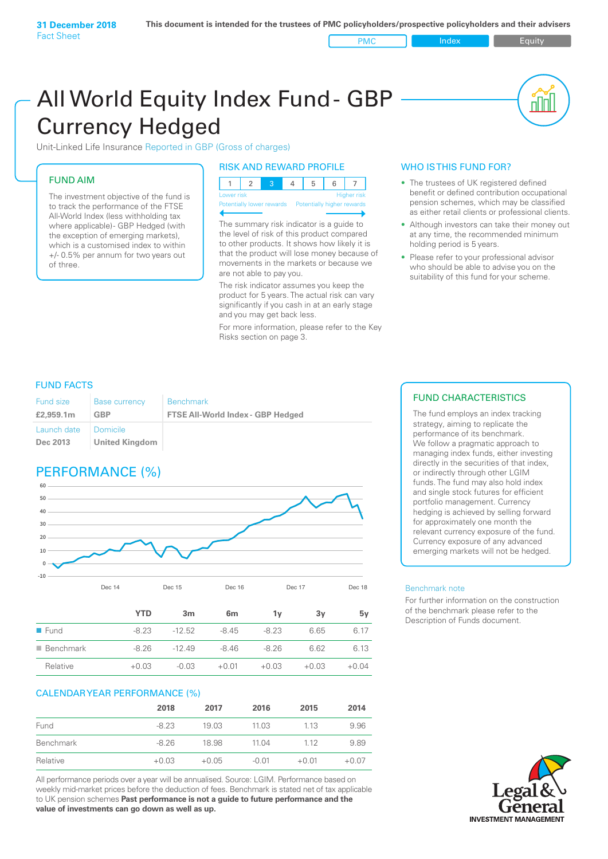PMC Index PMC Equity

# All World Equity Index Fund- GBP Currency Hedged

Unit-Linked Life Insurance Reported in GBP (Gross of charges)

## FUND AIM

The investment objective of the fund is to track the performance of the FTSE All-World Index (less withholding tax where applicable)- GBP Hedged (with the exception of emerging markets), which is a customised index to within +/- 0.5% per annum for two years out of three.

## RISK AND REWARD PROFILE

| Lower risk |  |  | <b>Higher</b> risk |
|------------|--|--|--------------------|

ntially lower rewards

The summary risk indicator is a guide to the level of risk of this product compared to other products. It shows how likely it is that the product will lose money because of movements in the markets or because we are not able to pay you.

The risk indicator assumes you keep the product for 5 years. The actual risk can vary significantly if you cash in at an early stage and you may get back less.

For more information, please refer to the Key Risks section on page 3.

## WHO IS THIS FUND FOR?

- The trustees of UK registered defined benefit or defined contribution occupational pension schemes, which may be classified as either retail clients or professional clients.
- Although investors can take their money out at any time, the recommended minimum holding period is 5 years.
- Please refer to your professional advisor who should be able to advise you on the suitability of this fund for your scheme.

## FUND FACTS

| <b>Fund size</b>        | <b>Base currency</b>         | <b>Benchmark</b>                         |
|-------------------------|------------------------------|------------------------------------------|
| £2,959.1m               | GBP                          | <b>FTSE All-World Index - GBP Hedged</b> |
| Launch date<br>Dec 2013 | I Domicile<br>United Kingdom |                                          |

## PERFORMANCE (%)



|                          | <b>YTD</b> | 3m       | 6 <sub>m</sub> | 1ν      | 3v      | 5v      |
|--------------------------|------------|----------|----------------|---------|---------|---------|
| $\blacksquare$ Fund      | $-8.23$    | $-12.52$ | $-8.45$        | $-8.23$ | 6.65    | 6.17    |
| $\blacksquare$ Benchmark | $-8.26$    | $-1249$  | $-8.46$        | $-8.26$ | 6.62    | 6.13    |
| Relative                 | $+0.03$    | $-0.03$  | $+0.01$        | $+0.03$ | $+0.03$ | $+0.04$ |

## CALENDAR YEAR PERFORMANCE (%)

|                  | 2018    | 2017    | 2016    | 2015    | 2014    |
|------------------|---------|---------|---------|---------|---------|
| Fund             | $-8.23$ | 19.03   | 11.03   | 1.13    | 9.96    |
| <b>Benchmark</b> | $-8.26$ | 18.98   | 11.04   | 1.12    | 9.89    |
| Relative         | $+0.03$ | $+0.05$ | $-0.01$ | $+0.01$ | $+0.07$ |

All performance periods over a year will be annualised. Source: LGIM. Performance based on weekly mid-market prices before the deduction of fees. Benchmark is stated net of tax applicable to UK pension schemes **Past performance is not a guide to future performance and the value of investments can go down as well as up.**

## FUND CHARACTERISTICS

The fund employs an index tracking strategy, aiming to replicate the performance of its benchmark. We follow a pragmatic approach to managing index funds, either investing directly in the securities of that index, or indirectly through other LGIM funds. The fund may also hold index and single stock futures for efficient portfolio management. Currency hedging is achieved by selling forward for approximately one month the relevant currency exposure of the fund. Currency exposure of any advanced emerging markets will not be hedged.

### Benchmark note

For further information on the construction of the benchmark please refer to the Description of Funds document.

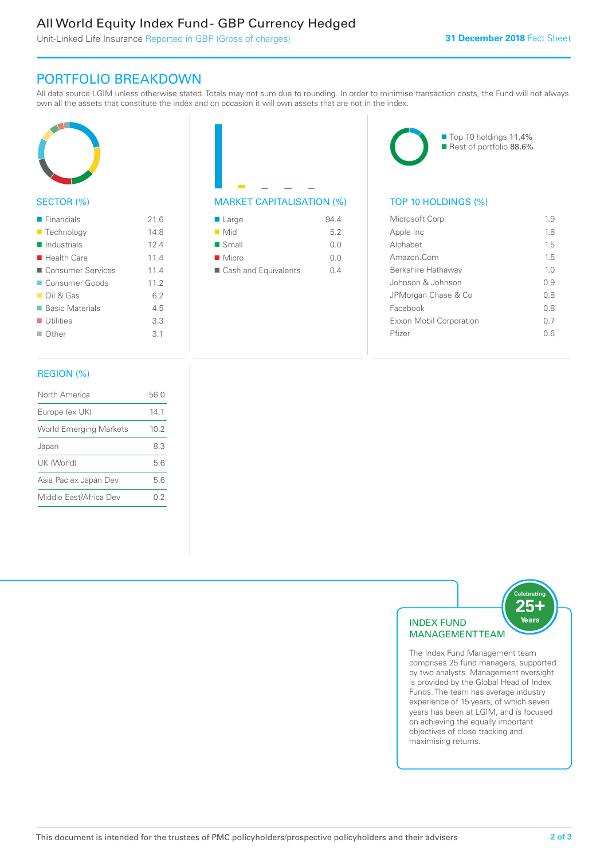## All World Equity Index Fund - GBP Currency Hedged

Unit-Linked Life Insurance Reported in GBP (Gross of charges)

## PORTFOLIO BREAKDOWN

All data source LGIM unless otherwise stated. Totals may not sum due to rounding. In order to minimise transaction costs, the Fund will not always own all the assets that constitute the index and on occasion it will own assets that are not in the index.



## SECTOR (%)

| $\blacksquare$ Financials  | 216  |
|----------------------------|------|
| ■ Technology               | 14.8 |
| $\blacksquare$ Industrials | 124  |
| $\blacksquare$ Health Care | 11.4 |
| ■ Consumer Services        | 114  |
| ■ Consumer Goods           | 11.2 |
| $\Box$ Oil & Gas           | 62   |
| ■ Basic Materials          | 4.5  |
| $\blacksquare$ Utilities   | 3.3  |
| $\Box$ Other               | 3.1  |
|                            |      |

## MARKET CAPITALISATION (%) TOP 10 HOLDINGS (%)

| $\blacksquare$ Large | 94.4 |
|----------------------|------|
| $\blacksquare$ Mid   | 5.2  |
| $\blacksquare$ Small | 0.0  |
| $\blacksquare$ Micro | 0.0  |
| Cash and Equivalents | 0 4  |

■ Top 10 holdings 11.4% Rest of portfolio 88.6%

| Microsoft Corp          | 19             |
|-------------------------|----------------|
| Apple Inc               | 18             |
| Alphabet                | 15             |
| Amazon Com              | 15             |
| Berkshire Hathaway      | 1 <sub>0</sub> |
| Johnson & Johnson       | 0.9            |
| JPMorgan Chase & Co     | 0 S            |
| Facebook                | 0 S            |
| Exxon Mobil Corporation | 0 7            |
| Pfizer                  | 06             |
|                         |                |

## REGION (%)

| North America                 | 56.0 |
|-------------------------------|------|
| Europe (ex UK)                | 141  |
| <b>World Emerging Markets</b> | 10.2 |
| Japan                         | 8.3  |
| UK (World)                    | 56   |
| Asia Pac ex Japan Dev         | 5.6  |
| Middle East/Africa Dev        | 02   |
|                               |      |



comprises 25 fund managers, supported by two analysts. Management oversight is provided by the Global Head of Index Funds. The team has average industry experience of 15 years, of which seven years has been at LGIM, and is focused on achieving the equally important objectives of close tracking and maximising returns.